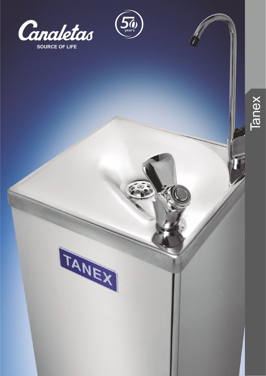